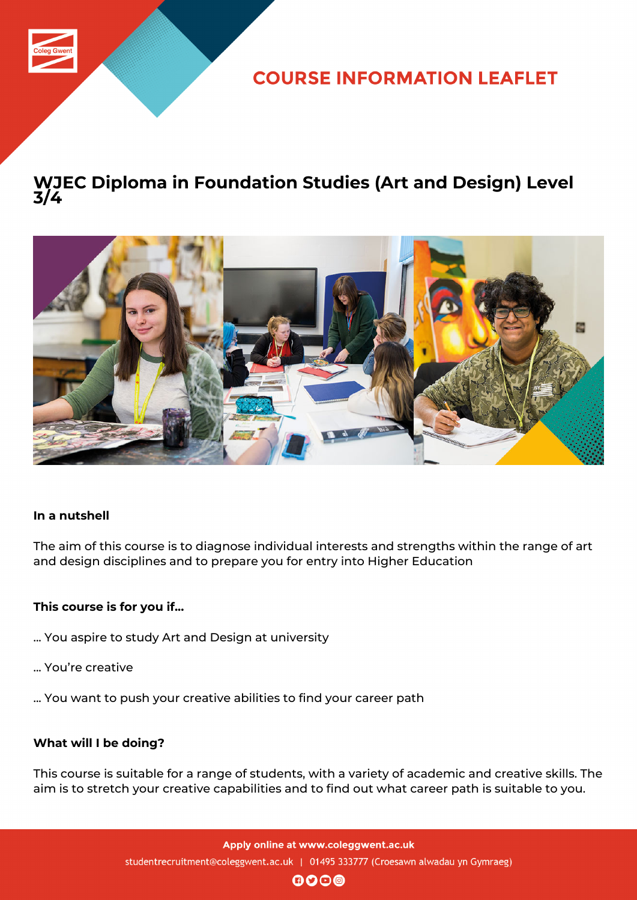

**COURSE INFORMATION LEAFLET** 

## **WJEC Diploma in Foundation Studies (Art and Design) Level 3/4**



### **In a nutshell**

The aim of this course is to diagnose individual interests and strengths within the range of art and design disciplines and to prepare you for entry into Higher Education

### **This course is for you if...**

- ... You aspire to study Art and Design at university
- ... You're creative
- ... You want to push your creative abilities to find your career path

#### **What will I be doing?**

This course is suitable for a range of students, with a variety of academic and creative skills. The aim is to stretch your creative capabilities and to find out what career path is suitable to you.

 $\mathbf{0}$  $\mathbf{0}$  $\mathbf{0}$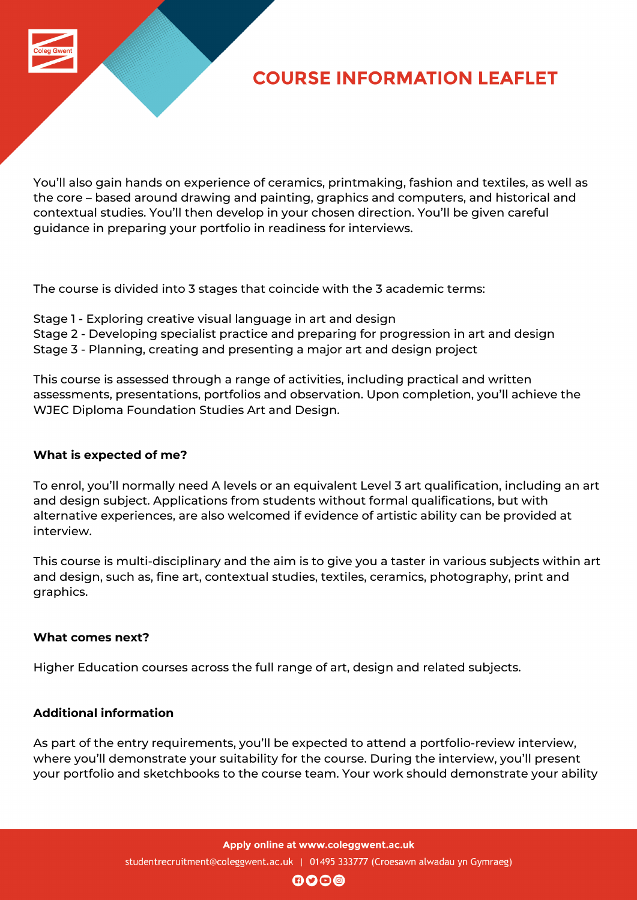

# **COURSE INFORMATION LEAFLET**

You'll also gain hands on experience of ceramics, printmaking, fashion and textiles, as well as the core – based around drawing and painting, graphics and computers, and historical and contextual studies. You'll then develop in your chosen direction. You'll be given careful guidance in preparing your portfolio in readiness for interviews.

The course is divided into 3 stages that coincide with the 3 academic terms:

- Stage 1 Exploring creative visual language in art and design
- Stage 2 Developing specialist practice and preparing for progression in art and design
- Stage 3 Planning, creating and presenting a major art and design project

This course is assessed through a range of activities, including practical and written assessments, presentations, portfolios and observation. Upon completion, you'll achieve the WJEC Diploma Foundation Studies Art and Design.

### **What is expected of me?**

To enrol, you'll normally need A levels or an equivalent Level 3 art qualification, including an art and design subject. Applications from students without formal qualifications, but with alternative experiences, are also welcomed if evidence of artistic ability can be provided at interview.

This course is multi-disciplinary and the aim is to give you a taster in various subjects within art and design, such as, fine art, contextual studies, textiles, ceramics, photography, print and graphics.

#### **What comes next?**

Higher Education courses across the full range of art, design and related subjects.

### **Additional information**

As part of the entry requirements, you'll be expected to attend a portfolio-review interview, where you'll demonstrate your suitability for the course. During the interview, you'll present your portfolio and sketchbooks to the course team. Your work should demonstrate your ability